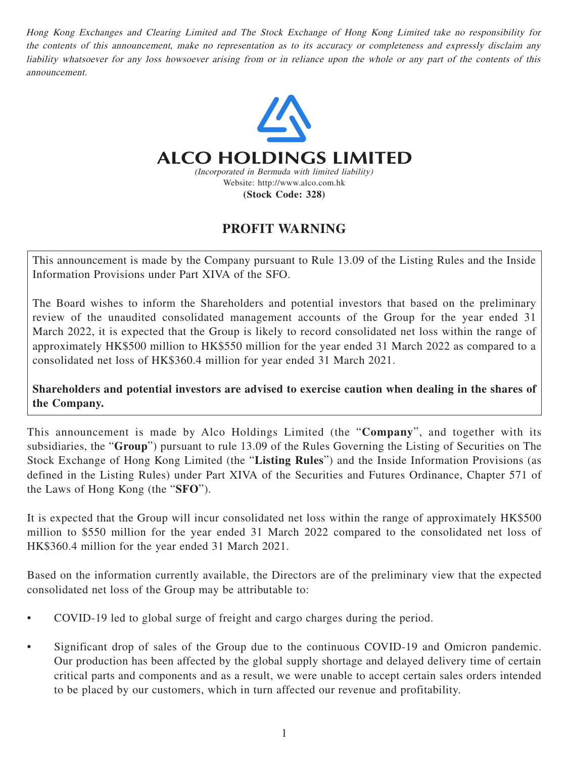Hong Kong Exchanges and Clearing Limited and The Stock Exchange of Hong Kong Limited take no responsibility for the contents of this announcement, make no representation as to its accuracy or completeness and expressly disclaim any liability whatsoever for any loss howsoever arising from or in reliance upon the whole or any part of the contents of this announcement.



## **PROFIT WARNING**

This announcement is made by the Company pursuant to Rule 13.09 of the Listing Rules and the Inside Information Provisions under Part XIVA of the SFO.

The Board wishes to inform the Shareholders and potential investors that based on the preliminary review of the unaudited consolidated management accounts of the Group for the year ended 31 March 2022, it is expected that the Group is likely to record consolidated net loss within the range of approximately HK\$500 million to HK\$550 million for the year ended 31 March 2022 as compared to a consolidated net loss of HK\$360.4 million for year ended 31 March 2021.

**Shareholders and potential investors are advised to exercise caution when dealing in the shares of the Company.**

This announcement is made by Alco Holdings Limited (the "**Company**", and together with its subsidiaries, the "**Group**") pursuant to rule 13.09 of the Rules Governing the Listing of Securities on The Stock Exchange of Hong Kong Limited (the "**Listing Rules**") and the Inside Information Provisions (as defined in the Listing Rules) under Part XIVA of the Securities and Futures Ordinance, Chapter 571 of the Laws of Hong Kong (the "**SFO**").

It is expected that the Group will incur consolidated net loss within the range of approximately HK\$500 million to \$550 million for the year ended 31 March 2022 compared to the consolidated net loss of HK\$360.4 million for the year ended 31 March 2021.

Based on the information currently available, the Directors are of the preliminary view that the expected consolidated net loss of the Group may be attributable to:

- COVID-19 led to global surge of freight and cargo charges during the period.
- Significant drop of sales of the Group due to the continuous COVID-19 and Omicron pandemic. Our production has been affected by the global supply shortage and delayed delivery time of certain critical parts and components and as a result, we were unable to accept certain sales orders intended to be placed by our customers, which in turn affected our revenue and profitability.